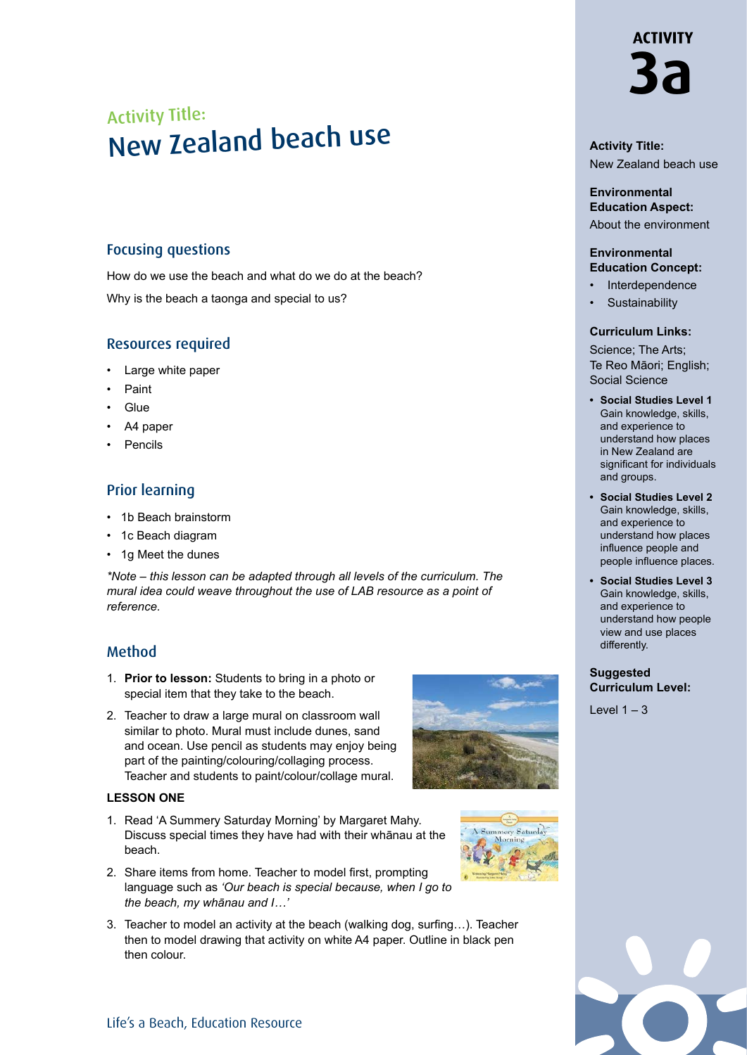# Activity Title: New Zealand beach use

## Focusing questions

How do we use the beach and what do we do at the beach? Why is the beach a taonga and special to us?

## Resources required

- Large white paper
- Paint
- **Glue**
- A4 paper
- **Pencils**

## Prior learning

- 1b Beach brainstorm
- 1c Beach diagram
- 1g Meet the dunes

*\*Note – this lesson can be adapted through all levels of the curriculum. The mural idea could weave throughout the use of LAB resource as a point of reference.*

## Method

- 1. **Prior to lesson:** Students to bring in a photo or special item that they take to the beach.
- 2. Teacher to draw a large mural on classroom wall similar to photo. Mural must include dunes, sand and ocean. Use pencil as students may enjoy being part of the painting/colouring/collaging process. Teacher and students to paint/colour/collage mural.

#### **LESSON ONE**

- 1. Read 'A Summery Saturday Morning' by Margaret Mahy. Discuss special times they have had with their whānau at the beach.
- 2. Share items from home. Teacher to model first, prompting language such as *'Our beach is special because, when I go to the beach, my whānau and I…'*
- 3. Teacher to model an activity at the beach (walking dog, surfing…). Teacher then to model drawing that activity on white A4 paper. Outline in black pen then colour.





## **Activity Title:** New Zealand beach use

**Environmental Education Aspect:** About the environment

#### **Environmental Education Concept:**

- **Interdependence**
- **Sustainability**

#### **Curriculum Links:**

Science; The Arts; Te Reo Māori; English; Social Science

- **• Social Studies Level 1**  Gain knowledge, skills, and experience to understand how places in New Zealand are significant for individuals and groups.
- **• Social Studies Level 2** Gain knowledge, skills, and experience to understand how places influence people and people influence places.
- **• Social Studies Level 3** Gain knowledge, skills, and experience to understand how people view and use places differently.

#### **Suggested Curriculum Level:**

 $Level 1 - 3$ 

**ACTIVITY 3a**

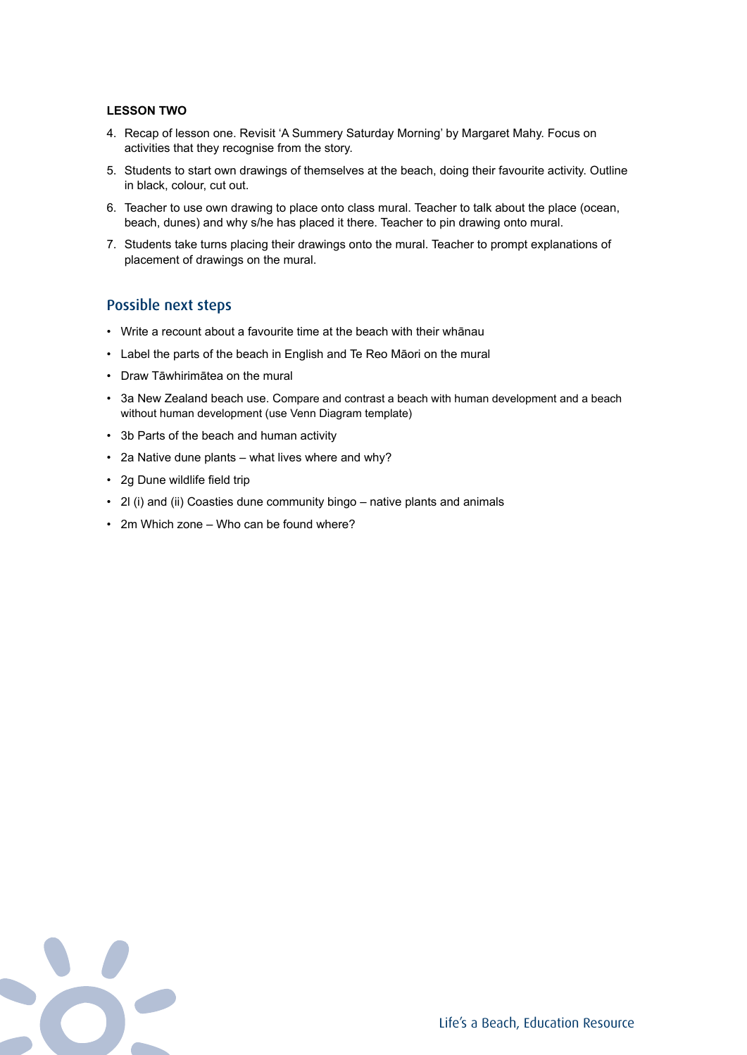#### **LESSON TWO**

- 4. Recap of lesson one. Revisit 'A Summery Saturday Morning' by Margaret Mahy. Focus on activities that they recognise from the story.
- 5. Students to start own drawings of themselves at the beach, doing their favourite activity. Outline in black, colour, cut out.
- 6. Teacher to use own drawing to place onto class mural. Teacher to talk about the place (ocean, beach, dunes) and why s/he has placed it there. Teacher to pin drawing onto mural.
- 7. Students take turns placing their drawings onto the mural. Teacher to prompt explanations of placement of drawings on the mural.

### Possible next steps

- Write a recount about a favourite time at the beach with their whānau
- Label the parts of the beach in English and Te Reo Māori on the mural
- Draw Tāwhirimātea on the mural
- 3a New Zealand beach use. Compare and contrast a beach with human development and a beach without human development (use Venn Diagram template)
- 3b Parts of the beach and human activity
- 2a Native dune plants what lives where and why?
- 2g Dune wildlife field trip
- 2l (i) and (ii) Coasties dune community bingo native plants and animals
- 2m Which zone Who can be found where?